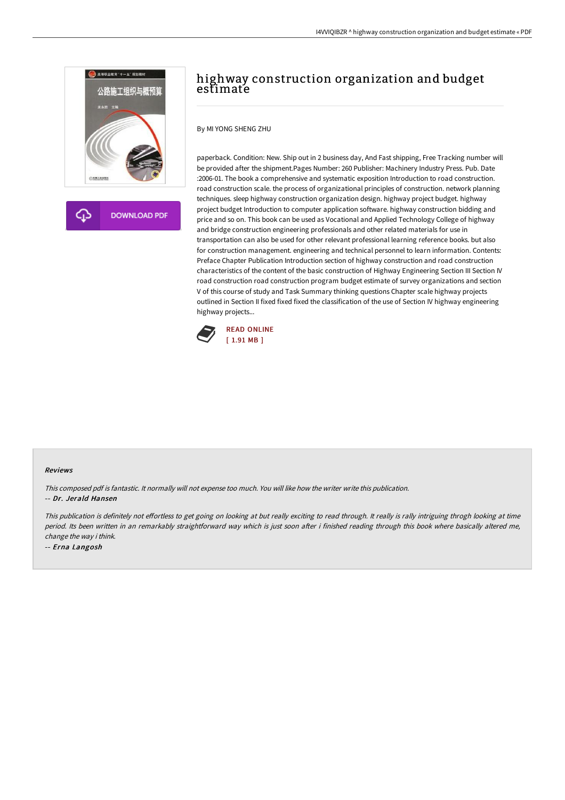

**DOWNLOAD PDF** 

# highway construction organization and budget estimate

By MI YONG SHENG ZHU

paperback. Condition: New. Ship out in 2 business day, And Fast shipping, Free Tracking number will be provided after the shipment.Pages Number: 260 Publisher: Machinery Industry Press. Pub. Date :2006-01. The book a comprehensive and systematic exposition Introduction to road construction. road construction scale. the process of organizational principles of construction. network planning techniques. sleep highway construction organization design. highway project budget. highway project budget Introduction to computer application software. highway construction bidding and price and so on. This book can be used as Vocational and Applied Technology College of highway and bridge construction engineering professionals and other related materials for use in transportation can also be used for other relevant professional learning reference books. but also for construction management. engineering and technical personnel to learn information. Contents: Preface Chapter Publication Introduction section of highway construction and road construction characteristics of the content of the basic construction of Highway Engineering Section III Section IV road construction road construction program budget estimate of survey organizations and section V of this course of study and Task Summary thinking questions Chapter scale highway projects outlined in Section II fixed fixed fixed the classification of the use of Section IV highway engineering highway projects...



#### Reviews

This composed pdf is fantastic. It normally will not expense too much. You will like how the writer write this publication. -- Dr. Jerald Hansen

This publication is definitely not effortless to get going on looking at but really exciting to read through. It really is rally intriguing throgh looking at time period. Its been written in an remarkably straightforward way which is just soon after i finished reading through this book where basically altered me, change the way i think.

-- Erna Langosh